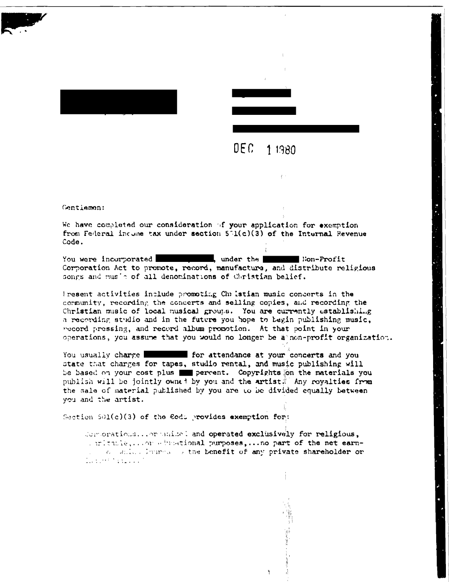



## $DEFC$ 1 1980

Gentlemen:

We have completed our consideration of your application for exemption from Federal incume tax under section  $5\Im(0)(3)$  of the Internal Revenue Code.

You were incorporated \_\_\_\_\_\_\_\_\_\_\_\_, under the \_\_\_\_\_\_\_\_ Non-Profit Corporation Act to promote, record, manufacture, and distribute religious songs and music of all denominations of Christian belief.

Present activities include promoting Christian music concerts in the community, recording the concerts and selling copies, and recording the Christian music of local musical groups. You are currently establishing a recording studio and in the future you hope to begin publishing music. record pressing, and record album promotion. At that point in your operations, you assume that you would no longer be a non-profit organization.

You usually charge for attendance at your concerts and you state that charges for tapes, studio rental, and music publishing will be based on your cost plus we percent. Copyrights on the materials you publish will be jointly owned by you and the artist. Any royalties from the sale of material published by you are to be divided equally between you and the artist.

Section 501(c)(3) of the Eodi provides exemption for:

Componations... or animal and operated exclusively for religious, a mittle, nor educational purposes, ... no part of the net earna consider immediate the benefit of any private shareholder or  $1.7\pm1.02$  Magazine  $^3$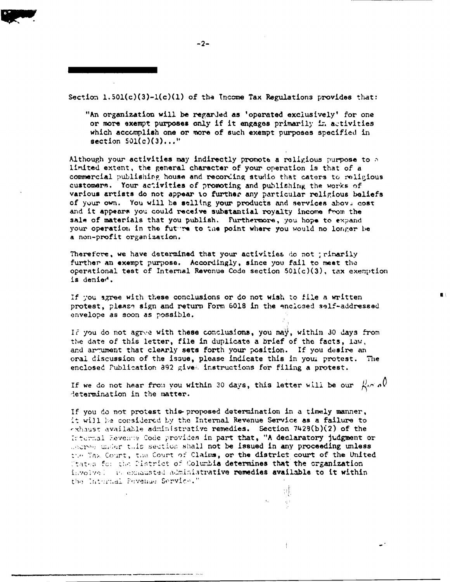Section  $1.501(c)(3)-1(c)(1)$  of the Income Tax Regulations provides that:

"An organization will be regarded as 'operated exclusively' for one or more exempt purposes only if it engages primarily in activities which accomplish one or more of such exempt purposes specified in section  $501(c)(3)...$ "

Although your activities may indirectly promote a religious purpose to a limited extent, the general character of your operation is that of a commercial publishing house and recording studio that caters to religious customers. Your activities of promoting and publishing the works of various artists do not appear to further any particular religious beliefs of your own. You will be selling your products and services above cost and it appears you could receive substantial royalty income from the sale of materials that you publish. Furthermore, you hope to expand your operation in the future to the point where you would no longer be a non-profit organization.

Therefore, we have determined that your activities do not ; rimarily further an exempt purpose. Accordingly, since you fail to meet the operational test of Internal Revenue Code section  $501(c)(3)$ , tax exemption is denied.

If you agree with these conclusions or do not wish to file a written protest, please sign and return Form 6018 in the enciosed self-addressed envelope as soon as possible.

If you do not agree with these conclusions, you may, within 30 days from the date of this letter, file in duplicate a brief of the facts, law, and argument that clearly sets forth your position. If you desire an oral discussion of the issue, please indicate this in your protest. The enclosed Publication 892 gives instructions for filing a protest.

If we do not hear from you within 30 days, this letter will be our  $\beta \sim \rho$ determination in the matter.

If you do not protest this proposed determination in a timely manner, it will be considered by the Internal Revenue Service as a failure to exhaust available administrative remedies. Section 7429(b)(2) of the Internal Revenue Code provides in part that, "A declaratory judgment or corresponding this section shall not be issued in any proceeding unless the Tax Court, the Court of Claims, or the district court of the United Utates for the Pistrict of Columbia determines that the organization involvel an exmansted administrative remedies available to it within the Internal Pevenue Service."

 $\frac{1}{2}$